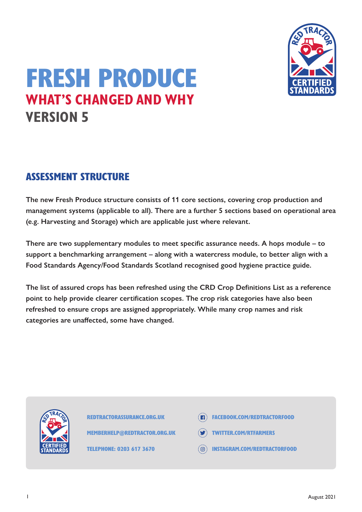

# FRESH PRODUCE **WHAT'S CHANGED AND WHY VERSION 5**

# ASSESSMENT STRUCTURE

**The new Fresh Produce structure consists of 11 core sections, covering crop production and management systems (applicable to all). There are a further 5 sections based on operational area (e.g. Harvesting and Storage) which are applicable just where relevant.**

**There are two supplementary modules to meet specific assurance needs. A hops module – to support a benchmarking arrangement – along with a watercress module, to better align with a Food Standards Agency/Food Standards Scotland recognised good hygiene practice guide.**

**The list of assured crops has been refreshed using the CRD Crop Definitions List as a reference point to help provide clearer certification scopes. The crop risk categories have also been refreshed to ensure crops are assigned appropriately. While many crop names and risk categories are unaffected, some have changed.** 



REDTRACTORASSURANCE.ORG.UK

MEMBERHELP@REDTRACTOR.ORG.UK

TELEPHONE: 0203 617 3670

- **FACEBOOK.COM/REDTRACTORFOOD**
- TWITTER.COM/RTFARMERS
- INSTAGRAM.COM/REDTRACTORFOOD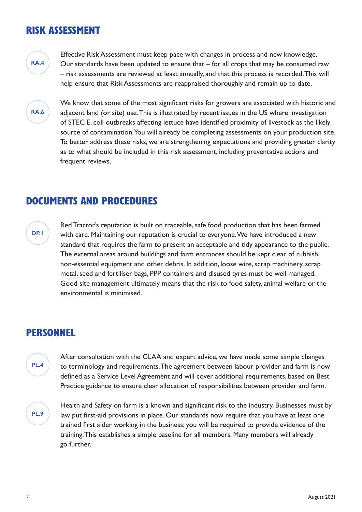### RISK ASSESSMENT



Effective Risk Assessment must keep pace with changes in process and new knowledge. Our standards have been updated to ensure that – for all crops that may be consumed raw – risk assessments are reviewed at least annually, and that this process is recorded. This will help ensure that Risk Assessments are reappraised thoroughly and remain up to date.



We know that some of the most significant risks for growers are associated with historic and adjacent land (or site) use. This is illustrated by recent issues in the US where investigation of STEC E. coli outbreaks affecting lettuce have identified proximity of livestock as the likely source of contamination. You will already be completing assessments on your production site. To better address these risks, we are strengthening expectations and providing greater clarity as to what should be included in this risk assessment, including preventative actions and frequent reviews.

### DOCUMENTS AND PROCEDURES

#### **DP.1**

Red Tractor's reputation is built on traceable, safe food production that has been farmed with care. Maintaining our reputation is crucial to everyone. We have introduced a new standard that requires the farm to present an acceptable and tidy appearance to the public. The external areas around buildings and farm entrances should be kept clear of rubbish, non-essential equipment and other debris. In addition, loose wire, scrap machinery, scrap metal, seed and fertiliser bags, PPP containers and disused tyres must be well managed. Good site management ultimately means that the risk to food safety, animal welfare or the environmental is minimised.

### PERSONNEL

After consultation with the GLAA and expert advice, we have made some simple changes to terminology and requirements. The agreement between labour provider and farm is now defined as a Service Level Agreement and will cover additional requirements, based on Best Practice guidance to ensure clear allocation of responsibilities between provider and farm.

**PL.9**

**PL.4**

Health and Safety on farm is a known and significant risk to the industry. Businesses must by law put first-aid provisions in place. Our standards now require that you have at least one trained first aider working in the business; you will be required to provide evidence of the training. This establishes a simple baseline for all members. Many members will already go further.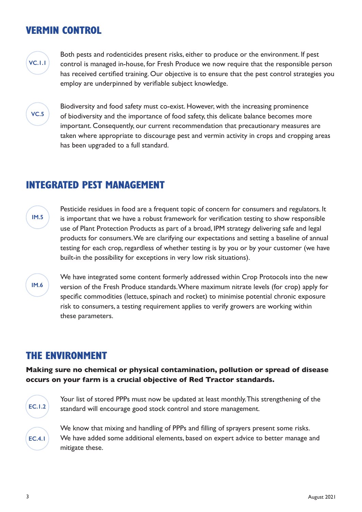### VERMIN CONTROL



Both pests and rodenticides present risks, either to produce or the environment. If pest control is managed in-house, for Fresh Produce we now require that the responsible person has received certified training. Our objective is to ensure that the pest control strategies you employ are underpinned by verifiable subject knowledge.



Biodiversity and food safety must co-exist. However, with the increasing prominence of biodiversity and the importance of food safety, this delicate balance becomes more important. Consequently, our current recommendation that precautionary measures are taken where appropriate to discourage pest and vermin activity in crops and cropping areas has been upgraded to a full standard.

### INTEGRATED PEST MANAGEMENT

**IM.5**

Pesticide residues in food are a frequent topic of concern for consumers and regulators. It is important that we have a robust framework for verification testing to show responsible use of Plant Protection Products as part of a broad, IPM strategy delivering safe and legal products for consumers. We are clarifying our expectations and setting a baseline of annual testing for each crop, regardless of whether testing is by you or by your customer (we have built-in the possibility for exceptions in very low risk situations).

#### **IM.6**

We have integrated some content formerly addressed within Crop Protocols into the new version of the Fresh Produce standards. Where maximum nitrate levels (for crop) apply for specific commodities (lettuce, spinach and rocket) to minimise potential chronic exposure risk to consumers, a testing requirement applies to verify growers are working within these parameters.

### THE ENVIRONMENT

**Making sure no chemical or physical contamination, pollution or spread of disease occurs on your farm is a crucial objective of Red Tractor standards.** 



Your list of stored PPPs must now be updated at least monthly. This strengthening of the standard will encourage good stock control and store management.

We know that mixing and handling of PPPs and filling of sprayers present some risks. We have added some additional elements, based on expert advice to better manage and mitigate these.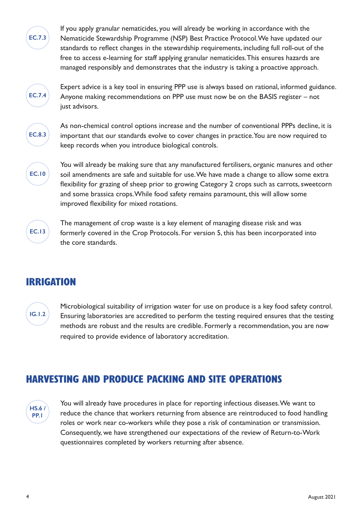If you apply granular nematicides, you will already be working in accordance with the Nematicide Stewardship Programme (NSP) Best Practice Protocol. We have updated our standards to reflect changes in the stewardship requirements, including full roll-out of the free to access e-learning for staff applying granular nematicides. This ensures hazards are managed responsibly and demonstrates that the industry is taking a proactive approach.



**EC.7.3**

Expert advice is a key tool in ensuring PPP use is always based on rational, informed guidance. Anyone making recommendations on PPP use must now be on the BASIS register – not just advisors.



As non-chemical control options increase and the number of conventional PPPs decline, it is important that our standards evolve to cover changes in practice. You are now required to keep records when you introduce biological controls.



You will already be making sure that any manufactured fertilisers, organic manures and other soil amendments are safe and suitable for use. We have made a change to allow some extra flexibility for grazing of sheep prior to growing Category 2 crops such as carrots, sweetcorn and some brassica crops. While food safety remains paramount, this will allow some improved flexibility for mixed rotations.



The management of crop waste is a key element of managing disease risk and was formerly covered in the Crop Protocols. For version 5, this has been incorporated into the core standards.

# IRRIGATION

**IG.1.2**

Microbiological suitability of irrigation water for use on produce is a key food safety control. Ensuring laboratories are accredited to perform the testing required ensures that the testing methods are robust and the results are credible. Formerly a recommendation, you are now required to provide evidence of laboratory accreditation.

# HARVESTING AND PRODUCE PACKING AND SITE OPERATIONS



You will already have procedures in place for reporting infectious diseases. We want to reduce the chance that workers returning from absence are reintroduced to food handling roles or work near co-workers while they pose a risk of contamination or transmission. Consequently, we have strengthened our expectations of the review of Return-to-Work questionnaires completed by workers returning after absence.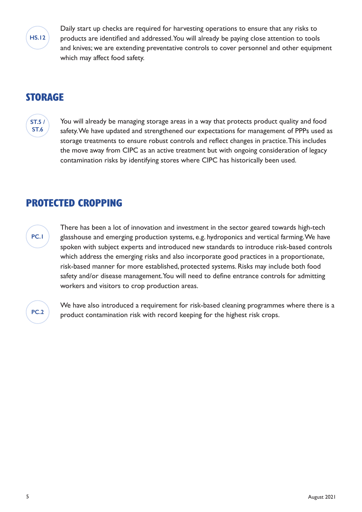

Daily start up checks are required for harvesting operations to ensure that any risks to products are identified and addressed. You will already be paying close attention to tools and knives; we are extending preventative controls to cover personnel and other equipment which may affect food safety.

### **STORAGE**

**ST.5 / ST.6**

You will already be managing storage areas in a way that protects product quality and food safety. We have updated and strengthened our expectations for management of PPPs used as storage treatments to ensure robust controls and reflect changes in practice. This includes the move away from CIPC as an active treatment but with ongoing consideration of legacy contamination risks by identifying stores where CIPC has historically been used.

### PROTECTED CROPPING

**PC.1**

There has been a lot of innovation and investment in the sector geared towards high-tech glasshouse and emerging production systems, e.g. hydroponics and vertical farming. We have spoken with subject experts and introduced new standards to introduce risk-based controls which address the emerging risks and also incorporate good practices in a proportionate, risk-based manner for more established, protected systems. Risks may include both food safety and/or disease management. You will need to define entrance controls for admitting workers and visitors to crop production areas.

**PC.2**

We have also introduced a requirement for risk-based cleaning programmes where there is a product contamination risk with record keeping for the highest risk crops.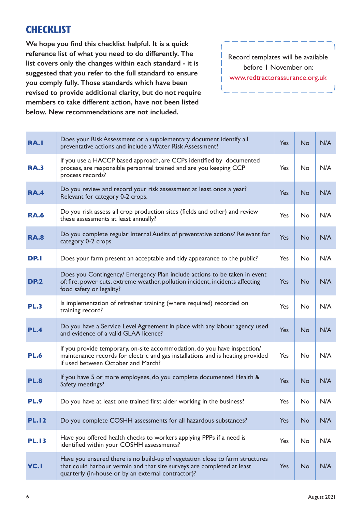# **CHECKLIST**

**We hope you find this checklist helpful. It is a quick reference list of what you need to do differently. The list covers only the changes within each standard - it is suggested that you refer to the full standard to ensure you comply fully. Those standards which have been revised to provide additional clarity, but do not require members to take different action, have not been listed below. New recommendations are not included.**

Record templates will be available before 1 November on: www.redtractorassurance.org.uk

| RA.I         | Does your Risk Assessment or a supplementary document identify all<br>preventative actions and include a Water Risk Assessment?                                                                              | <b>Yes</b> | <b>No</b> | N/A |
|--------------|--------------------------------------------------------------------------------------------------------------------------------------------------------------------------------------------------------------|------------|-----------|-----|
| <b>RA.3</b>  | If you use a HACCP based approach, are CCPs identified by documented<br>process, are responsible personnel trained and are you keeping CCP<br>process records?                                               | Yes        | No        | N/A |
| <b>RA.4</b>  | Do you review and record your risk assessment at least once a year?<br>Relevant for category 0-2 crops.                                                                                                      | Yes        | <b>No</b> | N/A |
| <b>RA.6</b>  | Do you risk assess all crop production sites (fields and other) and review<br>these assessments at least annually?                                                                                           | Yes        | No        | N/A |
| <b>RA.8</b>  | Do you complete regular Internal Audits of preventative actions? Relevant for<br>category 0-2 crops.                                                                                                         | <b>Yes</b> | <b>No</b> | N/A |
| DP.I         | Does your farm present an acceptable and tidy appearance to the public?                                                                                                                                      | Yes        | No        | N/A |
| <b>DP.2</b>  | Does you Contingency/ Emergency Plan include actions to be taken in event<br>of: fire, power cuts, extreme weather, pollution incident, incidents affecting<br>food safety or legality?                      | Yes        | <b>No</b> | N/A |
| <b>PL.3</b>  | Is implementation of refresher training (where required) recorded on<br>training record?                                                                                                                     | Yes        | <b>No</b> | N/A |
| <b>PL.4</b>  | Do you have a Service Level Agreement in place with any labour agency used<br>and evidence of a valid GLAA licence?                                                                                          | Yes        | <b>No</b> | N/A |
| <b>PL.6</b>  | If you provide temporary, on-site accommodation, do you have inspection/<br>maintenance records for electric and gas installations and is heating provided<br>if used between October and March?             | Yes        | No        | N/A |
| <b>PL.8</b>  | If you have 5 or more employees, do you complete documented Health &<br>Safety meetings?                                                                                                                     | Yes        | <b>No</b> | N/A |
| <b>PL.9</b>  | Do you have at least one trained first aider working in the business?                                                                                                                                        | Yes        | No        | N/A |
| <b>PL.12</b> | Do you complete COSHH assessments for all hazardous substances?                                                                                                                                              | <b>Yes</b> | <b>No</b> | N/A |
| <b>PL.13</b> | Have you offered health checks to workers applying PPPs if a need is<br>identified within your COSHH assessments?                                                                                            | Yes        | No        | N/A |
| <b>VC.1</b>  | Have you ensured there is no build-up of vegetation close to farm structures<br>that could harbour vermin and that site surveys are completed at least<br>quarterly (in-house or by an external contractor)? | Yes        | <b>No</b> | N/A |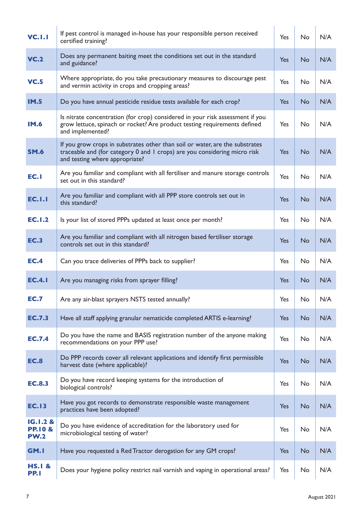| <b>VC.I.I</b>                                 | If pest control is managed in-house has your responsible person received<br>certified training?                                                                                             | Yes        | No        | N/A |
|-----------------------------------------------|---------------------------------------------------------------------------------------------------------------------------------------------------------------------------------------------|------------|-----------|-----|
| <b>VC.2</b>                                   | Does any permanent baiting meet the conditions set out in the standard<br>and guidance?                                                                                                     | Yes        | <b>No</b> | N/A |
| <b>VC.5</b>                                   | Where appropriate, do you take precautionary measures to discourage pest<br>and vermin activity in crops and cropping areas?                                                                | Yes        | No        | N/A |
| <b>IM.5</b>                                   | Do you have annual pesticide residue tests available for each crop?                                                                                                                         | Yes        | No        | N/A |
| <b>IM.6</b>                                   | Is nitrate concentration (for crop) considered in your risk assessment if you<br>grow lettuce, spinach or rocket? Are product testing requirements defined<br>and implemented?              | Yes        | <b>No</b> | N/A |
| <b>SM.6</b>                                   | If you grow crops in substrates other than soil or water, are the substrates<br>traceable and (for category 0 and 1 crops) are you considering micro risk<br>and testing where appropriate? | Yes        | <b>No</b> | N/A |
| EC.I                                          | Are you familiar and compliant with all fertiliser and manure storage controls<br>set out in this standard?                                                                                 | Yes        | <b>No</b> | N/A |
| <b>EC.I.I</b>                                 | Are you familiar and compliant with all PPP store controls set out in<br>this standard?                                                                                                     | Yes        | No        | N/A |
| <b>EC.1.2</b>                                 | Is your list of stored PPPs updated at least once per month?                                                                                                                                | Yes        | No        | N/A |
| <b>EC.3</b>                                   | Are you familiar and compliant with all nitrogen based fertiliser storage<br>controls set out in this standard?                                                                             | Yes        | <b>No</b> | N/A |
| <b>EC.4</b>                                   | Can you trace deliveries of PPPs back to supplier?                                                                                                                                          | Yes        | No        | N/A |
| <b>EC.4.1</b>                                 | Are you managing risks from sprayer filling?                                                                                                                                                | <b>Yes</b> | No        | N/A |
| <b>EC.7</b>                                   | Are any air-blast sprayers NSTS tested annually?                                                                                                                                            | Yes        | No        | N/A |
| <b>EC.7.3</b>                                 | Have all staff applying granular nematicide completed ARTIS e-learning?                                                                                                                     | Yes        | No        | N/A |
| <b>EC.7.4</b>                                 | Do you have the name and BASIS registration number of the anyone making<br>recommendations on your PPP use?                                                                                 | Yes        | No        | N/A |
| <b>EC.8</b>                                   | Do PPP records cover all relevant applications and identify first permissible<br>harvest date (where applicable)?                                                                           | <b>Yes</b> | <b>No</b> | N/A |
| <b>EC.8.3</b>                                 | Do you have record keeping systems for the introduction of<br>biological controls?                                                                                                          | Yes        | No        | N/A |
| <b>EC.13</b>                                  | Have you got records to demonstrate responsible waste management<br>practices have been adopted?                                                                                            | Yes        | <b>No</b> | N/A |
| IG.1.2 &<br><b>PP.10 &amp;</b><br><b>PW.2</b> | Do you have evidence of accreditation for the laboratory used for<br>microbiological testing of water?                                                                                      | Yes        | No        | N/A |
| GM.I                                          | Have you requested a Red Tractor derogation for any GM crops?                                                                                                                               | Yes        | No        | N/A |
| <b>HS.I &amp;</b><br><b>PP.1</b>              | Does your hygiene policy restrict nail varnish and vaping in operational areas?                                                                                                             | Yes        | No        | N/A |